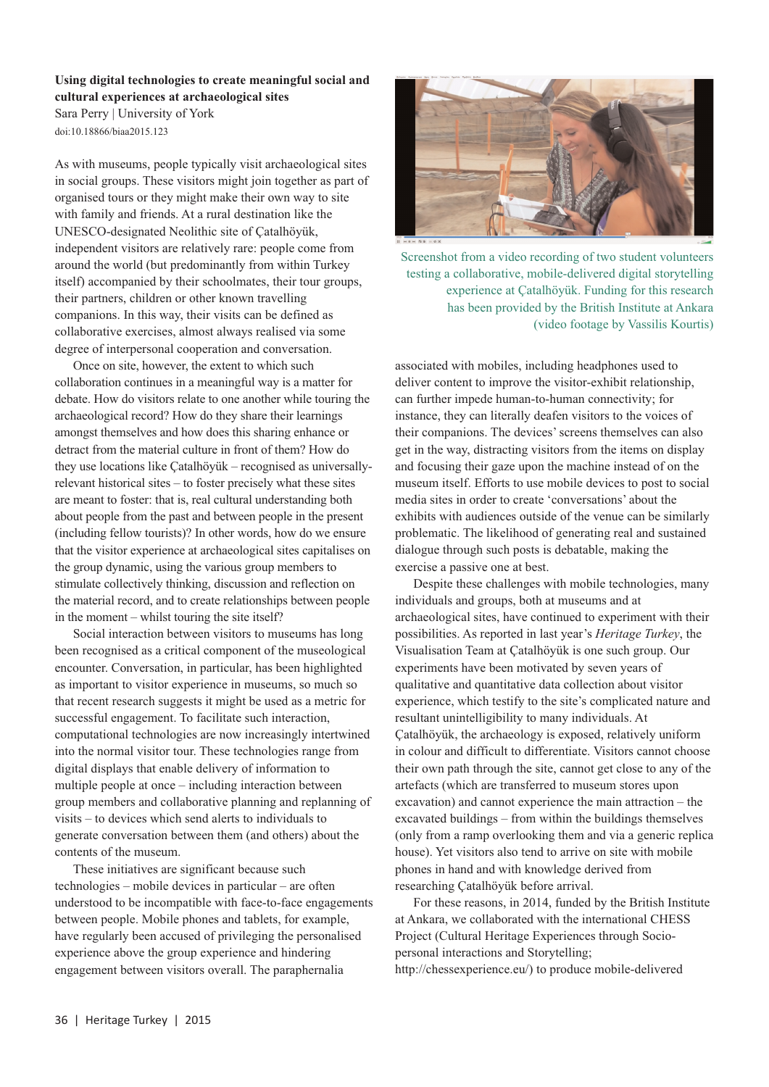**Using digital technologies to create meaningful social and cultural experiences at archaeological sites** Sara Perry | University of York doi:10.18866/biaa2015.123

As with museums, people typically visit archaeological sites in social groups. These visitors might join together as part of organised tours or they might make their own way to site with family and friends. At a rural destination like the UNESCO-designated Neolithic site of Çatalhöyük, independent visitors are relatively rare: people come from around the world (but predominantly from within Turkey itself) accompanied by their schoolmates, their tour groups, their partners, children or other known travelling companions. In this way, their visits can be defined as collaborative exercises, almost always realised via some degree of interpersonal cooperation and conversation.

Once on site, however, the extent to which such collaboration continues in a meaningful way is a matter for debate. How do visitors relate to one another while touring the archaeological record? How do they share their learnings amongst themselves and how does this sharing enhance or detract from the material culture in front of them? How do they use locations like Çatalhöyük – recognised as universallyrelevant historical sites – to foster precisely what these sites are meant to foster: that is, real cultural understanding both about people from the past and between people in the present (including fellow tourists)? In other words, how do we ensure that the visitor experience at archaeological sites capitalises on the group dynamic, using the various group members to stimulate collectively thinking, discussion and reflection on the material record, and to create relationships between people in the moment – whilst touring the site itself?

Social interaction between visitors to museums has long been recognised as a critical component of the museological encounter. Conversation, in particular, has been highlighted as important to visitor experience in museums, so much so that recent research suggests it might be used as a metric for successful engagement. To facilitate such interaction, computational technologies are now increasingly intertwined into the normal visitor tour. These technologies range from digital displays that enable delivery of information to multiple people at once – including interaction between group members and collaborative planning and replanning of visits – to devices which send alerts to individuals to generate conversation between them (and others) about the contents of the museum.

These initiatives are significant because such technologies – mobile devices in particular – are often understood to be incompatible with face-to-face engagements between people. Mobile phones and tablets, for example, have regularly been accused of privileging the personalised experience above the group experience and hindering engagement between visitors overall. The paraphernalia



Screenshot from a video recording of two student volunteers testing a collaborative, mobile-delivered digital storytelling experience at Çatalhöyük. Funding for this research has been provided by the British Institute at Ankara (video footage by Vassilis Kourtis)

associated with mobiles, including headphones used to deliver content to improve the visitor-exhibit relationship, can further impede human-to-human connectivity; for instance, they can literally deafen visitors to the voices of their companions. The devices' screens themselves can also get in the way, distracting visitors from the items on display and focusing their gaze upon the machine instead of on the museum itself. Efforts to use mobile devices to post to social media sites in order to create 'conversations' about the exhibits with audiences outside of the venue can be similarly problematic. The likelihood of generating real and sustained dialogue through such posts is debatable, making the exercise a passive one at best.

Despite these challenges with mobile technologies, many individuals and groups, both at museums and at archaeological sites, have continued to experiment with their possibilities. As reported in last year's *Heritage Turkey*, the Visualisation Team at Çatalhöyük is one such group. Our experiments have been motivated by seven years of qualitative and quantitative data collection about visitor experience, which testify to the site's complicated nature and resultant unintelligibility to many individuals. At Çatalhöyük, the archaeology is exposed, relatively uniform in colour and difficult to differentiate. Visitors cannot choose their own path through the site, cannot get close to any of the artefacts (which are transferred to museum stores upon excavation) and cannot experience the main attraction – the excavated buildings – from within the buildings themselves (only from a ramp overlooking them and via a generic replica house). Yet visitors also tend to arrive on site with mobile phones in hand and with knowledge derived from researching Çatalhöyük before arrival.

For these reasons, in 2014, funded by the British Institute at Ankara, we collaborated with the international CHESS Project (Cultural Heritage Experiences through Sociopersonal interactions and Storytelling; http://chessexperience.eu/) to produce mobile-delivered